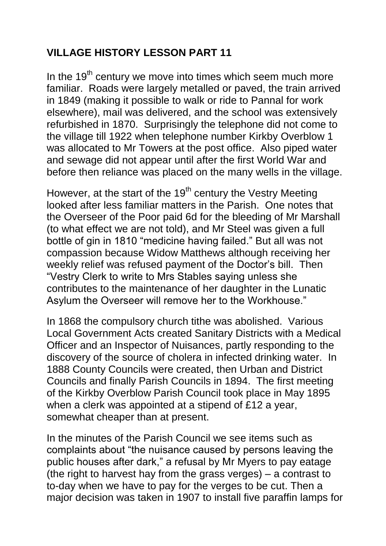## **VILLAGE HISTORY LESSON PART 11**

In the  $19<sup>th</sup>$  century we move into times which seem much more familiar. Roads were largely metalled or paved, the train arrived in 1849 (making it possible to walk or ride to Pannal for work elsewhere), mail was delivered, and the school was extensively refurbished in 1870. Surprisingly the telephone did not come to the village till 1922 when telephone number Kirkby Overblow 1 was allocated to Mr Towers at the post office. Also piped water and sewage did not appear until after the first World War and before then reliance was placed on the many wells in the village.

However, at the start of the  $19<sup>th</sup>$  century the Vestry Meeting looked after less familiar matters in the Parish. One notes that the Overseer of the Poor paid 6d for the bleeding of Mr Marshall (to what effect we are not told), and Mr Steel was given a full bottle of gin in 1810 "medicine having failed." But all was not compassion because Widow Matthews although receiving her weekly relief was refused payment of the Doctor's bill. Then "Vestry Clerk to write to Mrs Stables saying unless she contributes to the maintenance of her daughter in the Lunatic Asylum the Overseer will remove her to the Workhouse."

In 1868 the compulsory church tithe was abolished. Various Local Government Acts created Sanitary Districts with a Medical Officer and an Inspector of Nuisances, partly responding to the discovery of the source of cholera in infected drinking water. In 1888 County Councils were created, then Urban and District Councils and finally Parish Councils in 1894. The first meeting of the Kirkby Overblow Parish Council took place in May 1895 when a clerk was appointed at a stipend of £12 a year, somewhat cheaper than at present.

In the minutes of the Parish Council we see items such as complaints about "the nuisance caused by persons leaving the public houses after dark," a refusal by Mr Myers to pay eatage (the right to harvest hay from the grass verges) – a contrast to to-day when we have to pay for the verges to be cut. Then a major decision was taken in 1907 to install five paraffin lamps for